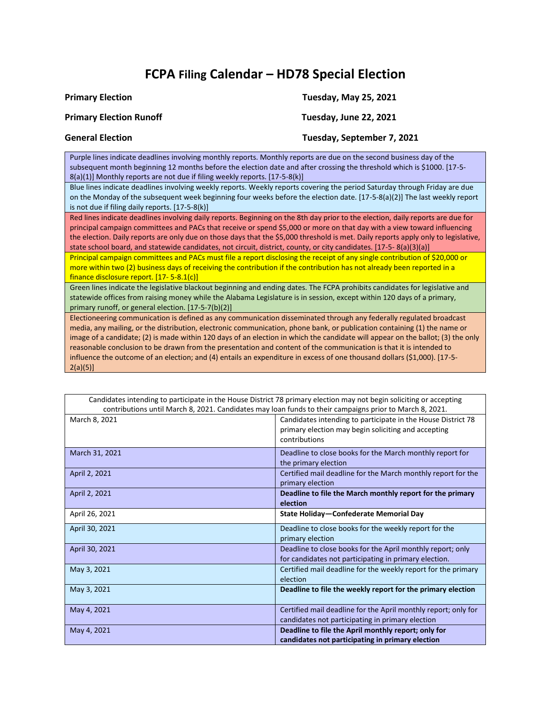## **FCPA Filing Calendar – HD78 Special Election**

| <b>Primary Election</b>                                                                                                                                                                                                                                                                                                      | <b>Tuesday, May 25, 2021</b>                                                                                                                                                                                                                                                                                                                                                                     |
|------------------------------------------------------------------------------------------------------------------------------------------------------------------------------------------------------------------------------------------------------------------------------------------------------------------------------|--------------------------------------------------------------------------------------------------------------------------------------------------------------------------------------------------------------------------------------------------------------------------------------------------------------------------------------------------------------------------------------------------|
| <b>Primary Election Runoff</b>                                                                                                                                                                                                                                                                                               | Tuesday, June 22, 2021                                                                                                                                                                                                                                                                                                                                                                           |
| <b>General Election</b>                                                                                                                                                                                                                                                                                                      | Tuesday, September 7, 2021                                                                                                                                                                                                                                                                                                                                                                       |
| Purple lines indicate deadlines involving monthly reports. Monthly reports are due on the second business day of the<br>subsequent month beginning 12 months before the election date and after crossing the threshold which is \$1000. [17-5-<br>8(a)(1)] Monthly reports are not due if filing weekly reports. [17-5-8(k)] |                                                                                                                                                                                                                                                                                                                                                                                                  |
| is not due if filing daily reports. [17-5-8(k)]                                                                                                                                                                                                                                                                              | Blue lines indicate deadlines involving weekly reports. Weekly reports covering the period Saturday through Friday are due<br>on the Monday of the subsequent week beginning four weeks before the election date. [17-5-8(a)(2)] The last weekly report                                                                                                                                          |
| state school board, and statewide candidates, not circuit, district, county, or city candidates. [17-5-8(a)(3)(a)]                                                                                                                                                                                                           | Red lines indicate deadlines involving daily reports. Beginning on the 8th day prior to the election, daily reports are due for<br>principal campaign committees and PACs that receive or spend \$5,000 or more on that day with a view toward influencing<br>the election. Daily reports are only due on those days that the \$5,000 threshold is met. Daily reports apply only to legislative, |
| more within two (2) business days of receiving the contribution if the contribution has not already been reported in a<br>finance disclosure report. $[17 - 5 - 8.1(c)]$                                                                                                                                                     | Principal campaign committees and PACs must file a report disclosing the receipt of any single contribution of \$20,000 or                                                                                                                                                                                                                                                                       |
| statewide offices from raising money while the Alabama Legislature is in session, except within 120 days of a primary,<br>primary runoff, or general election. [17-5-7(b)(2)]                                                                                                                                                | Green lines indicate the legislative blackout beginning and ending dates. The FCPA prohibits candidates for legislative and                                                                                                                                                                                                                                                                      |
| reasonable conclusion to be drawn from the presentation and content of the communication is that it is intended to<br>influence the outcome of an election; and (1) entails an expenditure in excess of ano thousand dellars (\$1,000) [17.5]                                                                                | Electioneering communication is defined as any communication disseminated through any federally regulated broadcast<br>media, any mailing, or the distribution, electronic communication, phone bank, or publication containing (1) the name or<br>image of a candidate; (2) is made within 120 days of an election in which the candidate will appear on the ballot; (3) the only               |

an election; and (4) entails an expenditure in excess of one thousand dollars (\$1,000). [1 2(a)(5)] Г Candidates intending to participate in the House District 78 primary election may not begin soliciting or accepting

| canalaces intending to participate in the nouse Bistrict To primary election may not begin soliditing or accepting<br>contributions until March 8, 2021. Candidates may loan funds to their campaigns prior to March 8, 2021. |                                                                                                                                      |
|-------------------------------------------------------------------------------------------------------------------------------------------------------------------------------------------------------------------------------|--------------------------------------------------------------------------------------------------------------------------------------|
| March 8, 2021                                                                                                                                                                                                                 | Candidates intending to participate in the House District 78<br>primary election may begin soliciting and accepting<br>contributions |
| March 31, 2021                                                                                                                                                                                                                | Deadline to close books for the March monthly report for<br>the primary election                                                     |
| April 2, 2021                                                                                                                                                                                                                 | Certified mail deadline for the March monthly report for the<br>primary election                                                     |
| April 2, 2021                                                                                                                                                                                                                 | Deadline to file the March monthly report for the primary<br>election                                                                |
| April 26, 2021                                                                                                                                                                                                                | State Holiday-Confederate Memorial Day                                                                                               |
| April 30, 2021                                                                                                                                                                                                                | Deadline to close books for the weekly report for the<br>primary election                                                            |
| April 30, 2021                                                                                                                                                                                                                | Deadline to close books for the April monthly report; only<br>for candidates not participating in primary election.                  |
| May 3, 2021                                                                                                                                                                                                                   | Certified mail deadline for the weekly report for the primary<br>election                                                            |
| May 3, 2021                                                                                                                                                                                                                   | Deadline to file the weekly report for the primary election                                                                          |
| May 4, 2021                                                                                                                                                                                                                   | Certified mail deadline for the April monthly report; only for<br>candidates not participating in primary election                   |
| May 4, 2021                                                                                                                                                                                                                   | Deadline to file the April monthly report; only for<br>candidates not participating in primary election                              |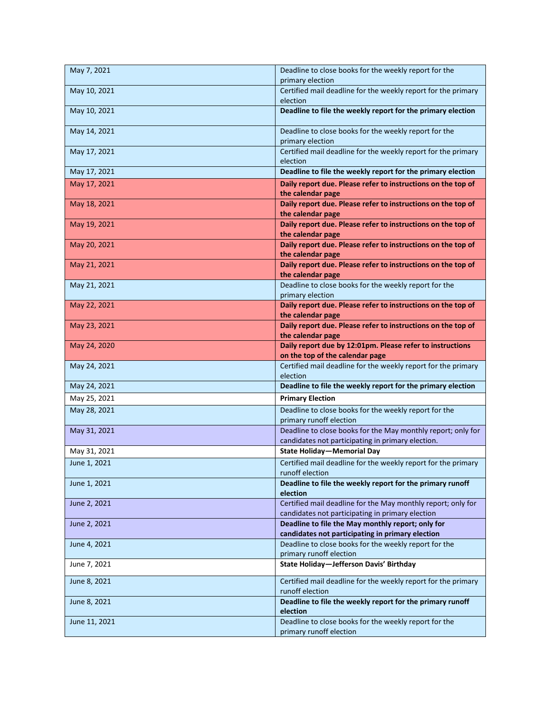| May 7, 2021   | Deadline to close books for the weekly report for the<br>primary election                                 |
|---------------|-----------------------------------------------------------------------------------------------------------|
| May 10, 2021  | Certified mail deadline for the weekly report for the primary<br>election                                 |
| May 10, 2021  | Deadline to file the weekly report for the primary election                                               |
| May 14, 2021  | Deadline to close books for the weekly report for the<br>primary election                                 |
| May 17, 2021  | Certified mail deadline for the weekly report for the primary<br>election                                 |
| May 17, 2021  | Deadline to file the weekly report for the primary election                                               |
| May 17, 2021  | Daily report due. Please refer to instructions on the top of<br>the calendar page                         |
| May 18, 2021  | Daily report due. Please refer to instructions on the top of<br>the calendar page                         |
| May 19, 2021  | Daily report due. Please refer to instructions on the top of                                              |
|               | the calendar page                                                                                         |
| May 20, 2021  | Daily report due. Please refer to instructions on the top of<br>the calendar page                         |
| May 21, 2021  | Daily report due. Please refer to instructions on the top of<br>the calendar page                         |
| May 21, 2021  | Deadline to close books for the weekly report for the<br>primary election                                 |
| May 22, 2021  | Daily report due. Please refer to instructions on the top of<br>the calendar page                         |
| May 23, 2021  | Daily report due. Please refer to instructions on the top of<br>the calendar page                         |
| May 24, 2020  | Daily report due by 12:01pm. Please refer to instructions                                                 |
|               |                                                                                                           |
|               | on the top of the calendar page                                                                           |
| May 24, 2021  | Certified mail deadline for the weekly report for the primary<br>election                                 |
| May 24, 2021  | Deadline to file the weekly report for the primary election                                               |
| May 25, 2021  | <b>Primary Election</b>                                                                                   |
| May 28, 2021  | Deadline to close books for the weekly report for the<br>primary runoff election                          |
| May 31, 2021  | Deadline to close books for the May monthly report; only for                                              |
| May 31, 2021  | candidates not participating in primary election.<br><b>State Holiday-Memorial Day</b>                    |
| June 1, 2021  | Certified mail deadline for the weekly report for the primary<br>runoff election                          |
| June 1, 2021  | Deadline to file the weekly report for the primary runoff                                                 |
| June 2, 2021  | election<br>Certified mail deadline for the May monthly report; only for                                  |
| June 2, 2021  | candidates not participating in primary election<br>Deadline to file the May monthly report; only for     |
| June 4, 2021  | candidates not participating in primary election<br>Deadline to close books for the weekly report for the |
| June 7, 2021  | primary runoff election<br>State Holiday-Jefferson Davis' Birthday                                        |
| June 8, 2021  | Certified mail deadline for the weekly report for the primary                                             |
| June 8, 2021  | runoff election<br>Deadline to file the weekly report for the primary runoff                              |
| June 11, 2021 | election<br>Deadline to close books for the weekly report for the                                         |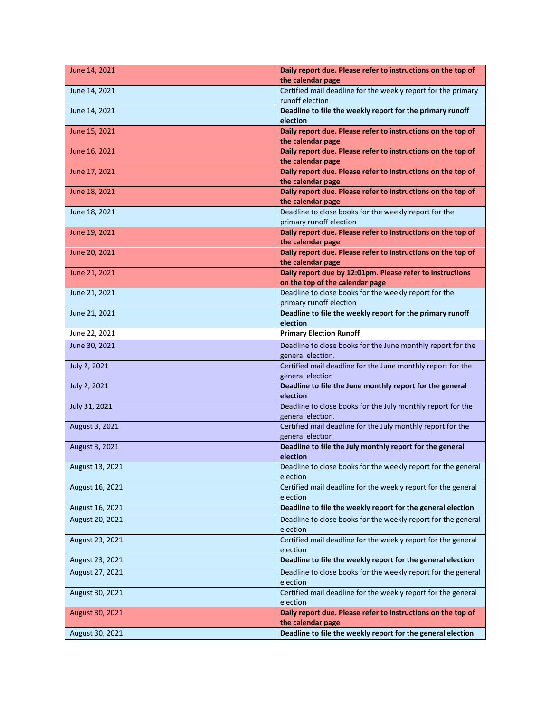| June 14, 2021   | Daily report due. Please refer to instructions on the top of<br>the calendar page        |
|-----------------|------------------------------------------------------------------------------------------|
| June 14, 2021   | Certified mail deadline for the weekly report for the primary<br>runoff election         |
| June 14, 2021   | Deadline to file the weekly report for the primary runoff<br>election                    |
| June 15, 2021   | Daily report due. Please refer to instructions on the top of<br>the calendar page        |
| June 16, 2021   | Daily report due. Please refer to instructions on the top of<br>the calendar page        |
| June 17, 2021   | Daily report due. Please refer to instructions on the top of<br>the calendar page        |
| June 18, 2021   | Daily report due. Please refer to instructions on the top of<br>the calendar page        |
| June 18, 2021   | Deadline to close books for the weekly report for the<br>primary runoff election         |
| June 19, 2021   | Daily report due. Please refer to instructions on the top of<br>the calendar page        |
| June 20, 2021   | Daily report due. Please refer to instructions on the top of<br>the calendar page        |
| June 21, 2021   | Daily report due by 12:01pm. Please refer to instructions                                |
|                 | on the top of the calendar page<br>Deadline to close books for the weekly report for the |
| June 21, 2021   | primary runoff election                                                                  |
| June 21, 2021   | Deadline to file the weekly report for the primary runoff<br>election                    |
| June 22, 2021   | <b>Primary Election Runoff</b>                                                           |
| June 30, 2021   | Deadline to close books for the June monthly report for the<br>general election.         |
| July 2, 2021    | Certified mail deadline for the June monthly report for the<br>general election          |
| July 2, 2021    | Deadline to file the June monthly report for the general<br>election                     |
| July 31, 2021   | Deadline to close books for the July monthly report for the<br>general election.         |
| August 3, 2021  | Certified mail deadline for the July monthly report for the<br>general election          |
| August 3, 2021  | Deadline to file the July monthly report for the general<br>election                     |
| August 13, 2021 | Deadline to close books for the weekly report for the general<br>election                |
| August 16, 2021 | Certified mail deadline for the weekly report for the general<br>election                |
| August 16, 2021 | Deadline to file the weekly report for the general election                              |
| August 20, 2021 | Deadline to close books for the weekly report for the general<br>election                |
| August 23, 2021 | Certified mail deadline for the weekly report for the general<br>election                |
| August 23, 2021 | Deadline to file the weekly report for the general election                              |
| August 27, 2021 | Deadline to close books for the weekly report for the general<br>election                |
| August 30, 2021 | Certified mail deadline for the weekly report for the general<br>election                |
| August 30, 2021 | Daily report due. Please refer to instructions on the top of<br>the calendar page        |
| August 30, 2021 | Deadline to file the weekly report for the general election                              |